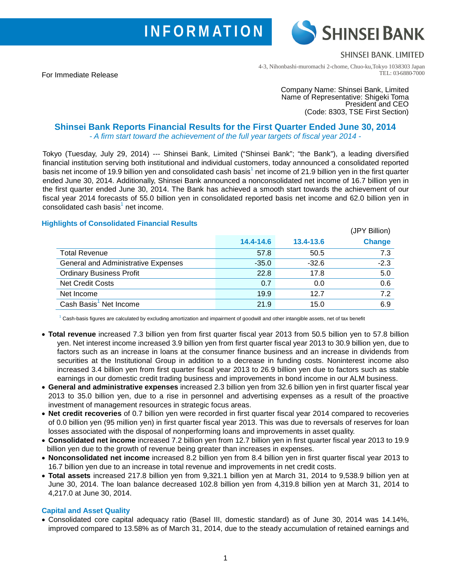# **INFORMATION**

**SHINSEI BANK, LIMITED** 

**SHINSEI BANK** 

(JPY Billion)

For Immediate Release

4-3, Nihonbashi-muromachi 2-chome, Chuo-ku,Tokyo 103-8303 Japan TEL: 03-6880-7000

> Company Name: Shinsei Bank, Limited Name of Representative: Shigeki Toma President and CEO (Code: 8303, TSE First Section)

## **Shinsei Bank Reports Financial Results for the First Quarter Ended June 30, 2014** *- A firm start toward the achievement of the full year targets of fiscal year 2014 -*

Tokyo (Tuesday, July 29, 2014) --- Shinsei Bank, Limited ("Shinsei Bank"; "the Bank"), a leading diversified financial institution serving both institutional and individual customers, today announced a consolidated reported basis net income of 19.9 billion yen and consolidated cash basis<sup>1</sup> net income of 21.9 billion yen in the first quarter ended June 30, 2014. Additionally, Shinsei Bank announced a nonconsolidated net income of 16.7 billion yen in the first quarter ended June 30, 2014. The Bank has achieved a smooth start towards the achievement of our fiscal year 2014 forecasts of 55.0 billion yen in consolidated reported basis net income and 62.0 billion yen in consolidated cash basis<sup>1</sup> net income.

### **Highlights of Consolidated Financial Results**

|                                     |           |           | $UT$ i Diliuli) |
|-------------------------------------|-----------|-----------|-----------------|
|                                     | 14.4-14.6 | 13.4-13.6 | <b>Change</b>   |
| <b>Total Revenue</b>                | 57.8      | 50.5      | 7.3             |
| General and Administrative Expenses | $-35.0$   | $-32.6$   | $-2.3$          |
| <b>Ordinary Business Profit</b>     | 22.8      | 17.8      | 5.0             |
| <b>Net Credit Costs</b>             | 0.7       | 0.0       | 0.6             |
| Net Income                          | 19.9      | 12.7      | 7.2             |
| Cash Basis <sup>1</sup> Net Income  | 21.9      | 15.0      | 6.9             |

 $1$  Cash-basis figures are calculated by excluding amortization and impairment of goodwill and other intangible assets, net of tax benefit

- **Total revenue** increased 7.3 billion yen from first quarter fiscal year 2013 from 50.5 billion yen to 57.8 billion yen. Net interest income increased 3.9 billion yen from first quarter fiscal year 2013 to 30.9 billion yen, due to factors such as an increase in loans at the consumer finance business and an increase in dividends from securities at the Institutional Group in addition to a decrease in funding costs. Noninterest income also increased 3.4 billion yen from first quarter fiscal year 2013 to 26.9 billion yen due to factors such as stable earnings in our domestic credit trading business and improvements in bond income in our ALM business.
- **General and administrative expenses** increased 2.3 billion yen from 32.6 billion yen in first quarter fiscal year 2013 to 35.0 billion yen, due to a rise in personnel and advertising expenses as a result of the proactive investment of management resources in strategic focus areas.
- **Net credit recoveries** of 0.7 billion yen were recorded in first quarter fiscal year 2014 compared to recoveries of 0.0 billion yen (95 million yen) in first quarter fiscal year 2013. This was due to reversals of reserves for loan losses associated with the disposal of nonperforming loans and improvements in asset quality.
- **Consolidated net income** increased 7.2 billion yen from 12.7 billion yen in first quarter fiscal year 2013 to 19.9 billion yen due to the growth of revenue being greater than increases in expenses.
- **Nonconsolidated net income** increased 8.2 billion yen from 8.4 billion yen in first quarter fiscal year 2013 to 16.7 billion yen due to an increase in total revenue and improvements in net credit costs.
- **Total assets** increased 217.8 billion yen from 9,321.1 billion yen at March 31, 2014 to 9,538.9 billion yen at June 30, 2014. The loan balance decreased 102.8 billion yen from 4,319.8 billion yen at March 31, 2014 to 4,217.0 at June 30, 2014.

#### **Capital and Asset Quality**

• Consolidated core capital adequacy ratio (Basel III, domestic standard) as of June 30, 2014 was 14.14%, improved compared to 13.58% as of March 31, 2014, due to the steady accumulation of retained earnings and